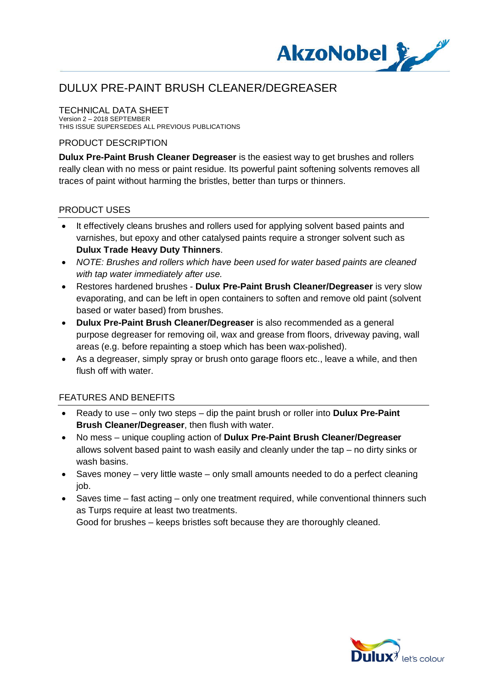

# DULUX PRE-PAINT BRUSH CLEANER/DEGREASER

## TECHNICAL DATA SHEET

Version 2 – 2018 SEPTEMBER THIS ISSUE SUPERSEDES ALL PREVIOUS PUBLICATIONS

### PRODUCT DESCRIPTION

**Dulux Pre-Paint Brush Cleaner Degreaser** is the easiest way to get brushes and rollers really clean with no mess or paint residue. Its powerful paint softening solvents removes all traces of paint without harming the bristles, better than turps or thinners.

### PRODUCT USES

- · It effectively cleans brushes and rollers used for applying solvent based paints and varnishes, but epoxy and other catalysed paints require a stronger solvent such as **Dulux Trade Heavy Duty Thinners**.
- · *NOTE: Brushes and rollers which have been used for water based paints are cleaned with tap water immediately after use.*
- · Restores hardened brushes **Dulux Pre-Paint Brush Cleaner/Degreaser** is very slow evaporating, and can be left in open containers to soften and remove old paint (solvent based or water based) from brushes.
- · **Dulux Pre-Paint Brush Cleaner/Degreaser** is also recommended as a general purpose degreaser for removing oil, wax and grease from floors, driveway paving, wall areas (e.g. before repainting a stoep which has been wax-polished).
- As a degreaser, simply spray or brush onto garage floors etc., leave a while, and then flush off with water.

#### FEATURES AND BENEFITS

- · Ready to use only two steps dip the paint brush or roller into **Dulux Pre-Paint Brush Cleaner/Degreaser**, then flush with water.
- · No mess unique coupling action of **Dulux Pre-Paint Brush Cleaner/Degreaser** allows solvent based paint to wash easily and cleanly under the tap – no dirty sinks or wash basins.
- · Saves money very little waste only small amounts needed to do a perfect cleaning iob.
- · Saves time fast acting only one treatment required, while conventional thinners such as Turps require at least two treatments.

Good for brushes – keeps bristles soft because they are thoroughly cleaned.

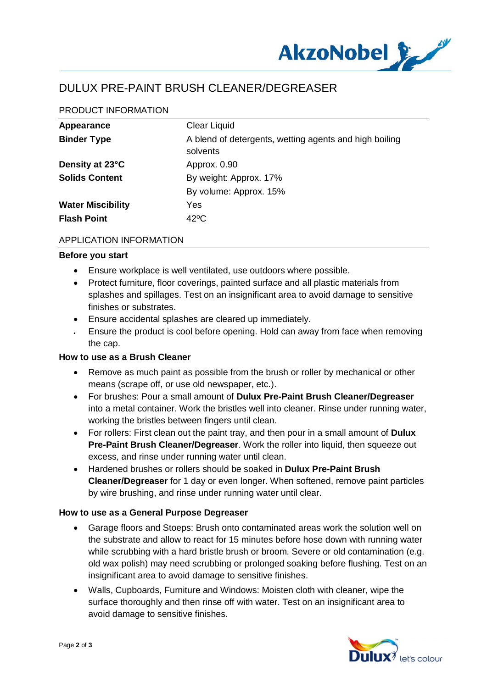

## DULUX PRE-PAINT BRUSH CLEANER/DEGREASER

## PRODUCT INFORMATION

| Appearance               | <b>Clear Liquid</b>                                                |
|--------------------------|--------------------------------------------------------------------|
| <b>Binder Type</b>       | A blend of detergents, wetting agents and high boiling<br>solvents |
| Density at 23°C          | Approx. 0.90                                                       |
| <b>Solids Content</b>    | By weight: Approx. 17%                                             |
|                          | By volume: Approx. 15%                                             |
| <b>Water Miscibility</b> | Yes                                                                |
| <b>Flash Point</b>       | $42^{\circ}$ C                                                     |

#### APPLICATION INFORMATION

#### **Before you start**

- · Ensure workplace is well ventilated, use outdoors where possible.
- · Protect furniture, floor coverings, painted surface and all plastic materials from splashes and spillages. Test on an insignificant area to avoid damage to sensitive finishes or substrates.
- · Ensure accidental splashes are cleared up immediately.
- · Ensure the product is cool before opening. Hold can away from face when removing the cap.

#### **How to use as a Brush Cleaner**

- · Remove as much paint as possible from the brush or roller by mechanical or other means (scrape off, or use old newspaper, etc.).
- · For brushes: Pour a small amount of **Dulux Pre-Paint Brush Cleaner/Degreaser** into a metal container. Work the bristles well into cleaner. Rinse under running water, working the bristles between fingers until clean.
- · For rollers: First clean out the paint tray, and then pour in a small amount of **Dulux Pre-Paint Brush Cleaner/Degreaser**. Work the roller into liquid, then squeeze out excess, and rinse under running water until clean.
- · Hardened brushes or rollers should be soaked in **Dulux Pre-Paint Brush Cleaner/Degreaser** for 1 day or even longer. When softened, remove paint particles by wire brushing, and rinse under running water until clear.

#### **How to use as a General Purpose Degreaser**

- · Garage floors and Stoeps: Brush onto contaminated areas work the solution well on the substrate and allow to react for 15 minutes before hose down with running water while scrubbing with a hard bristle brush or broom. Severe or old contamination (e.g. old wax polish) may need scrubbing or prolonged soaking before flushing. Test on an insignificant area to avoid damage to sensitive finishes.
- · Walls, Cupboards, Furniture and Windows: Moisten cloth with cleaner, wipe the surface thoroughly and then rinse off with water. Test on an insignificant area to avoid damage to sensitive finishes.